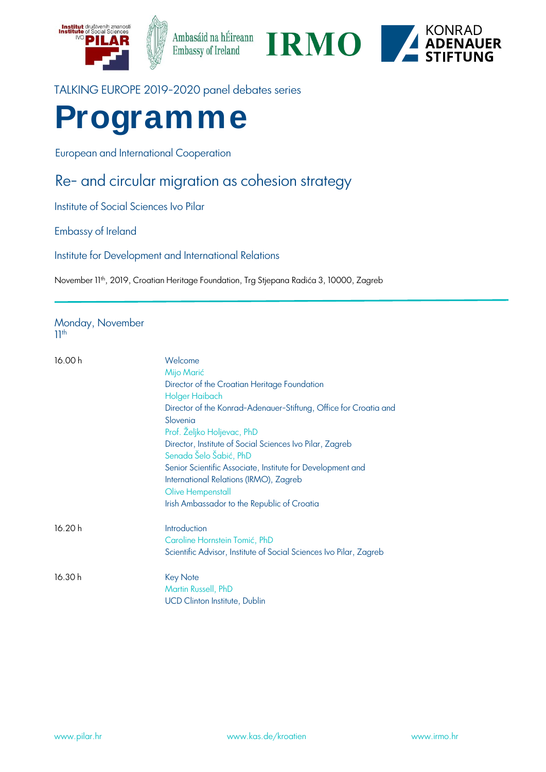





# TALKING EUROPE 2019-2020 panel debates series

# **Programme**

European and International Cooperation

# Re- and circular migration as cohesion strategy

Institute of Social Sciences Ivo Pilar

Embassy of Ireland

Institute for Development and International Relations

November 11<sup>th</sup>, 2019, Croatian Heritage Foundation, Trg Stjepana Radića 3, 10000, Zagreb

#### Monday, November 11th

| 16.00 h | Welcome<br>Mijo Marić                                                              |
|---------|------------------------------------------------------------------------------------|
|         | Director of the Croatian Heritage Foundation                                       |
|         | Holger Haibach                                                                     |
|         | Director of the Konrad-Adenauer-Stiftung, Office for Croatia and                   |
|         | Slovenia                                                                           |
|         | Prof. Željko Holjevac, PhD                                                         |
|         | Director, Institute of Social Sciences Ivo Pilar, Zagreb<br>Senada Šelo Šabić, PhD |
|         | Senior Scientific Associate, Institute for Development and                         |
|         | International Relations (IRMO), Zagreb                                             |
|         | Olive Hempenstall                                                                  |
|         | Irish Ambassador to the Republic of Croatia                                        |
| 16.20 h | Introduction                                                                       |
|         | Caroline Hornstein Tomić, PhD                                                      |
|         | Scientific Advisor, Institute of Social Sciences Ivo Pilar, Zagreb                 |
| 16.30 h | <b>Key Note</b>                                                                    |
|         | Martin Russell, PhD                                                                |
|         | <b>UCD Clinton Institute, Dublin</b>                                               |
|         |                                                                                    |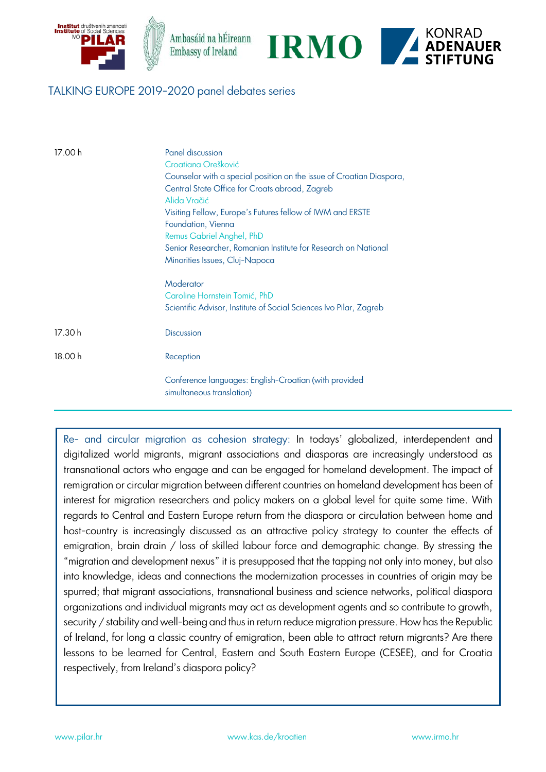

### TALKING EUROPE 2019-2020 panel debates series

| 17.00 h | Panel discussion<br>Croatiana Orešković<br>Counselor with a special position on the issue of Croatian Diaspora,<br>Central State Office for Croats abroad, Zagreb<br>Alida Vračić<br>Visiting Fellow, Europe's Futures fellow of IWM and ERSTE<br>Foundation, Vienna<br>Remus Gabriel Anghel, PhD<br>Senior Researcher, Romanian Institute for Research on National<br>Minorities Issues, Cluj-Napoca<br>Moderator<br>Caroline Hornstein Tomić, PhD<br>Scientific Advisor, Institute of Social Sciences Ivo Pilar, Zagreb |
|---------|---------------------------------------------------------------------------------------------------------------------------------------------------------------------------------------------------------------------------------------------------------------------------------------------------------------------------------------------------------------------------------------------------------------------------------------------------------------------------------------------------------------------------|
| 17.30 h | <b>Discussion</b>                                                                                                                                                                                                                                                                                                                                                                                                                                                                                                         |
| 18.00 h | Reception                                                                                                                                                                                                                                                                                                                                                                                                                                                                                                                 |
|         | Conference languages: English-Croatian (with provided<br>simultaneous translation)                                                                                                                                                                                                                                                                                                                                                                                                                                        |

Re- and circular migration as cohesion strategy: In todays' globalized, interdependent and digitalized world migrants, migrant associations and diasporas are increasingly understood as transnational actors who engage and can be engaged for homeland development. The impact of remigration or circular migration between different countries on homeland development has been of interest for migration researchers and policy makers on a global level for quite some time. With regards to Central and Eastern Europe return from the diaspora or circulation between home and host-country is increasingly discussed as an attractive policy strategy to counter the effects of emigration, brain drain / loss of skilled labour force and demographic change. By stressing the "migration and development nexus" it is presupposed that the tapping not only into money, but also into knowledge, ideas and connections the modernization processes in countries of origin may be spurred; that migrant associations, transnational business and science networks, political diaspora organizations and individual migrants may act as development agents and so contribute to growth, security / stability and well-being and thus in return reduce migration pressure. How has the Republic of Ireland, for long a classic country of emigration, been able to attract return migrants? Are there lessons to be learned for Central, Eastern and South Eastern Europe (CESEE), and for Croatia respectively, from Ireland's diaspora policy?